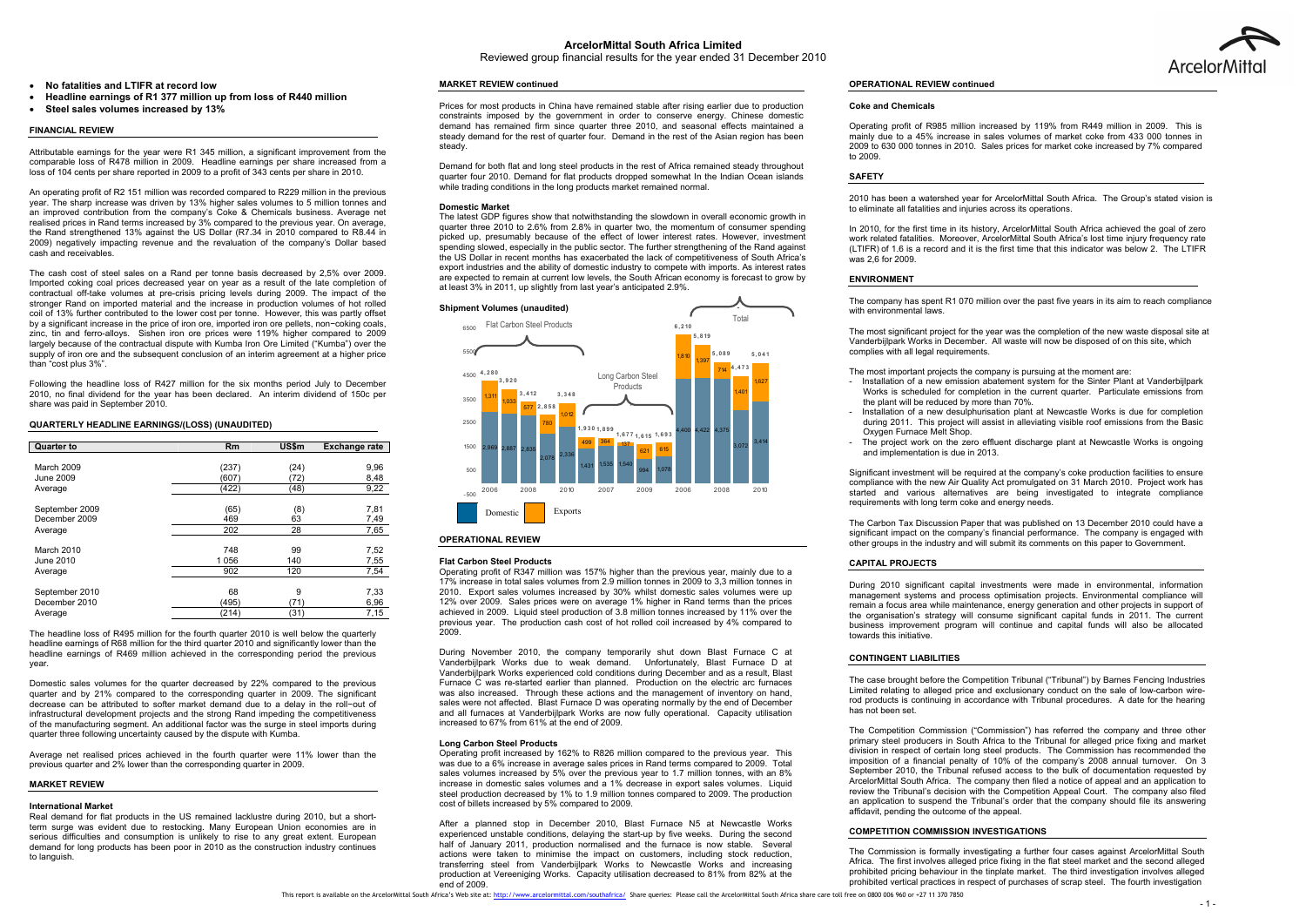Reviewed group financial results for the year ended 31 December 2010

#### 0 **No fatalities and LTIFR at record low**

- 0 **Headline earnings of R1 377 million up from loss of R440 million**
- 0 **Steel sales volumes increased by 13%**

# **FINANCIAL REVIEW**

Attributable earnings for the year were R1 345 million, a significant improvement from the comparable loss of R478 million in 2009. Headline earnings per share increased from a loss of 104 cents per share reported in 2009 to a profit of 343 cents per share in 2010.

An operating profit of R2 151 million was recorded compared to R229 million in the previous year. The sharp increase was driven by 13% higher sales volumes to 5 million tonnes and an improved contribution from the company's Coke & Chemicals business. Average net realised prices in Rand terms increased by 3% compared to the previous year. On average, the Rand strengthened 13% against the US Dollar (R7.34 in 2010 compared to R8.44 in 2009) negatively impacting revenue and the revaluation of the company's Dollar based cash and receivables.

The cash cost of steel sales on a Rand per tonne basis decreased by 2,5% over 2009. Imported coking coal prices decreased year on year as a result of the late completion of contractual off-take volumes at pre-crisis pricing levels during 2009. The impact of the stronger Rand on imported material and the increase in production volumes of hot rolled coil of 13% further contributed to the lower cost per tonne. However, this was partly offset by a significant increase in the price of iron ore, imported iron ore pellets, non−coking coals, zinc, tin and ferro-alloys. Sishen iron ore prices were 119% higher compared to 2009 largely because of the contractual dispute with Kumba Iron Ore Limited ("Kumba") over the supply of iron ore and the subsequent conclusion of an interim agreement at a higher price than "cost plus 3%".

Following the headline loss of R427 million for the six months period July to December 2010, no final dividend for the year has been declared. An interim dividend of 150c per share was paid in September 2010.

# **QUARTERLY HEADLINE EARNINGS/(LOSS) (UNAUDITED)**

| <b>Quarter to</b> | Rm      | US\$m | <b>Exchange rate</b> |
|-------------------|---------|-------|----------------------|
|                   |         |       |                      |
| March 2009        | (237)   | (24)  | 9,96                 |
| June 2009         | (607)   | (72)  | 8,48                 |
| Average           | (422)   | (48)  | 9,22                 |
| September 2009    | (65)    | (8)   | 7,81                 |
| December 2009     | 469     | 63    | 7,49                 |
| Average           | 202     | 28    | 7,65                 |
| March 2010        | 748     | 99    | 7,52                 |
| June 2010         | 1 0 5 6 | 140   | 7,55                 |
| Average           | 902     | 120   | 7,54                 |
| September 2010    | 68      | 9     | 7,33                 |
| December 2010     | (495)   | (71)  | 6,96                 |
| Average           | (214)   | (31)  | 7,15                 |

The headline loss of R495 million for the fourth quarter 2010 is well below the quarterly headline earnings of R68 million for the third quarter 2010 and significantly lower than the headline earnings of R469 million achieved in the corresponding period the previous year.

Domestic sales volumes for the quarter decreased by 22% compared to the previous quarter and by 21% compared to the corresponding quarter in 2009. The significant decrease can be attributed to softer market demand due to a delay in the roll−out of infrastructural development projects and the strong Rand impeding the competitiveness of the manufacturing segment. An additional factor was the surge in steel imports during quarter three following uncertainty caused by the dispute with Kumba.

Average net realised prices achieved in the fourth quarter were 11% lower than the previous quarter and 2% lower than the corresponding quarter in 2009.

### **MARKET REVIEW**

#### **International Market**

 Real demand for flat products in the US remained lacklustre during 2010, but a shortterm surge was evident due to restocking. Many European Union economies are in serious difficulties and consumption is unlikely to rise to any great extent. European demand for long products has been poor in 2010 as the construction industry continues to languish.

# **MARKET REVIEW continued**

Prices for most products in China have remained stable after rising earlier due to production constraints imposed by the government in order to conserve energy. Chinese domestic demand has remained firm since quarter three 2010, and seasonal effects maintained a steady demand for the rest of quarter four. Demand in the rest of the Asian region has been steady.

Demand for both flat and long steel products in the rest of Africa remained steady throughout quarter four 2010. Demand for flat products dropped somewhat In the Indian Ocean islands while trading conditions in the long products market remained normal.

#### **Domestic Market**

Significant investment will be required at the company's coke production facilities to ensure compliance with the new Air Quality Act promulgated on 31 March 2010. Project work has started and various alternatives are being investigated to integrate compliance requirements with long term coke and energy needs.

The latest GDP figures show that notwithstanding the slowdown in overall economic growth in quarter three 2010 to 2.6% from 2.8% in quarter two, the momentum of consumer spending picked up, presumably because of the effect of lower interest rates. However, investment spending slowed, especially in the public sector. The further strengthening of the Rand against the US Dollar in recent months has exacerbated the lack of competitiveness of South Africa's export industries and the ability of domestic industry to compete with imports. As interest rates are expected to remain at current low levels, the South African economy is forecast to grow by at least 3% in 2011, up slightly from last year's anticipated 2.9%.

#### **Flat Carbon Steel Products**

 Operating profit of R347 million was 157% higher than the previous year, mainly due to a 17% increase in total sales volumes from 2.9 million tonnes in 2009 to 3,3 million tonnes in 2010. Export sales volumes increased by 30% whilst domestic sales volumes were up 12% over 2009. Sales prices were on average 1% higher in Rand terms than the prices achieved in 2009. Liquid steel production of 3.8 million tonnes increased by 11% over the previous year. The production cash cost of hot rolled coil increased by 4% compared to 2009.

During November 2010, the company temporarily shut down Blast Furnace C at Vanderbijlpark Works due to weak demand. Unfortunately, Blast Furnace D at Vanderbijlpark Works experienced cold conditions during December and as a result, Blast Furnace C was re-started earlier than planned. Production on the electric arc furnaces was also increased. Through these actions and the management of inventory on hand, sales were not affected. Blast Furnace D was operating normally by the end of December and all furnaces at Vanderbijlpark Works are now fully operational. Capacity utilisation increased to 67% from 61% at the end of 2009.

#### **Long Carbon Steel Products**

Operating profit increased by 162% to R826 million compared to the previous year. This was due to a 6% increase in average sales prices in Rand terms compared to 2009. Total sales volumes increased by 5% over the previous year to 1.7 million tonnes, with an 8% increase in domestic sales volumes and a 1% decrease in export sales volumes. Liquid steel production decreased by 1% to 1.9 million tonnes compared to 2009. The production cost of billets increased by 5% compared to 2009.

After a planned stop in December 2010, Blast Furnace N5 at Newcastle Works experienced unstable conditions, delaying the start-up by five weeks. During the second half of January 2011, production normalised and the furnace is now stable. Several actions were taken to minimise the impact on customers, including stock reduction, transferring steel from Vanderbijlpark Works to Newcastle Works and increasing production at Vereeniging Works. Capacity utilisation decreased to 81% from 82% at the end of 2009.

# **OPERATIONAL REVIEW continued**

#### **Coke and Chemicals**

Operating profit of R985 million increased by 119% from R449 million in 2009. This is mainly due to a 45% increase in sales volumes of market coke from 433 000 tonnes in 2009 to 630 000 tonnes in 2010. Sales prices for market coke increased by 7% compared to 2009.

#### **SAFETY**

2010 has been a watershed year for ArcelorMittal South Africa. The Group's stated vision is to eliminate all fatalities and injuries across its operations.

In 2010, for the first time in its history, ArcelorMittal South Africa achieved the goal of zero work related fatalities. Moreover, ArcelorMittal South Africa's lost time injury frequency rate (LTIFR) of 1.6 is a record and it is the first time that this indicator was below 2. The LTIFR was 2,6 for 2009.

#### **ENVIRONMENT**

with environmental laws.

The company has spent R1 070 million over the past five years in its aim to reach compliance

The most significant project for the year was the completion of the new waste disposal site at Vanderbijlpark Works in December. All waste will now be disposed of on this site, which complies with all legal requirements.

The most important projects the company is pursuing at the moment are: - Installation of a new emission abatement system for the Sinter Plant at Vanderbijlpark



Works is scheduled for completion in the current quarter. Particulate emissions from

- Installation of a new desulphurisation plant at Newcastle Works is due for completion during 2011. This project will assist in alleviating visible roof emissions from the Basic

The project work on the zero effluent discharge plant at Newcastle Works is ongoing

- the plant will be reduced by more than 70%.
- Oxygen Furnace Melt Shop. and implementation is due in 2013.

The Carbon Tax Discussion Paper that was published on 13 December 2010 could have a significant impact on the company's financial performance. The company is engaged with other groups in the industry and will submit its comments on this paper to Government.

#### **CAPITAL PROJECTS**

During 2010 significant capital investments were made in environmental, information management systems and process optimisation projects. Environmental compliance will remain a focus area while maintenance, energy generation and other projects in support of the organisation's strategy will consume significant capital funds in 2011. The current business improvement program will continue and capital funds will also be allocated towards this initiative.

### **CONTINGENT LIABILITIES**

The case brought before the Competition Tribunal ("Tribunal") by Barnes Fencing Industries Limited relating to alleged price and exclusionary conduct on the sale of low-carbon wirerod products is continuing in accordance with Tribunal procedures. A date for the hearing has not been set.

The Competition Commission ("Commission") has referred the company and three other primary steel producers in South Africa to the Tribunal for alleged price fixing and market division in respect of certain long steel products. The Commission has recommended the imposition of a financial penalty of 10% of the company's 2008 annual turnover. On 3 September 2010, the Tribunal refused access to the bulk of documentation requested by ArcelorMittal South Africa. The company then filed a notice of appeal and an application to review the Tribunal's decision with the Competition Appeal Court. The company also filed an application to suspend the Tribunal's order that the company should file its answering affidavit, pending the outcome of the appeal.

# **COMPETITION COMMISSION INVESTIGATIONS**

The Commission is formally investigating a further four cases against ArcelorMittal South Africa. The first involves alleged price fixing in the flat steel market and the second alleged prohibited pricing behaviour in the tinplate market. The third investigation involves alleged prohibited vertical practices in respect of purchases of scrap steel. The fourth investigation

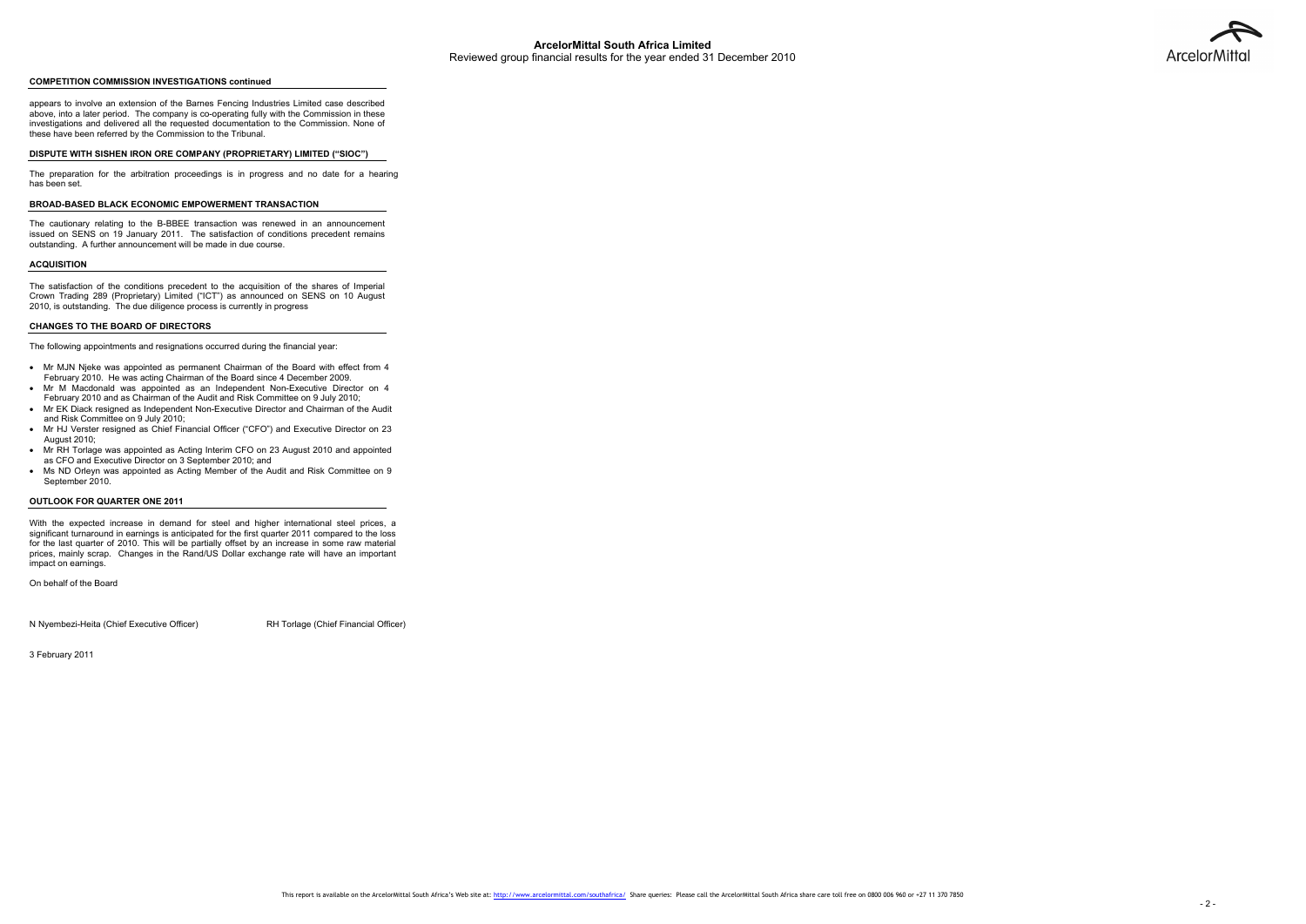# **COMPETITION COMMISSION INVESTIGATIONS continued**

appears to involve an extension of the Barnes Fencing Industries Limited case described above, into a later period. The company is co-operating fully with the Commission in these investigations and delivered all the requested documentation to the Commission. None of these have been referred by the Commission to the Tribunal.

#### **DISPUTE WITH SISHEN IRON ORE COMPANY (PROPRIETARY) LIMITED ("SIOC")**

The preparation for the arbitration proceedings is in progress and no date for a hearing has been set.

### **BROAD-BASED BLACK ECONOMIC EMPOWERMENT TRANSACTION**

The cautionary relating to the B-BBEE transaction was renewed in an announcement issued on SENS on 19 January 2011. The satisfaction of conditions precedent remains outstanding. A further announcement will be made in due course.

#### **ACQUISITION**

The satisfaction of the conditions precedent to the acquisition of the shares of Imperial Crown Trading 289 (Proprietary) Limited ("ICT") as announced on SENS on 10 August 2010, is outstanding. The due diligence process is currently in progress

#### **CHANGES TO THE BOARD OF DIRECTORS**

The following appointments and resignations occurred during the financial year:

- Mr MJN Njeke was appointed as permanent Chairman of the Board with effect from 4 February 2010. He was acting Chairman of the Board since 4 December 2009.
- Mr M Macdonald was appointed as an Independent Non-Executive Director on 4 February 2010 and as Chairman of the Audit and Risk Committee on 9 July 2010;
- Mr EK Diack resigned as Independent Non-Executive Director and Chairman of the Audit and Risk Committee on 9 July 2010;
- Mr HJ Verster resigned as Chief Financial Officer ("CFO") and Executive Director on 23 August 2010;
- Mr RH Torlage was appointed as Acting Interim CFO on 23 August 2010 and appointed as CFO and Executive Director on 3 September 2010; and
- Ms ND Orleyn was appointed as Acting Member of the Audit and Risk Committee on 9 September 2010.

#### **OUTLOOK FOR QUARTER ONE 2011**

With the expected increase in demand for steel and higher international steel prices, a significant turnaround in earnings is anticipated for the first quarter 2011 compared to the loss for the last quarter of 2010. This will be partially offset by an increase in some raw material prices, mainly scrap. Changes in the Rand/US Dollar exchange rate will have an important impact on earnings.

On behalf of the Board

N Nyembezi-Heita (Chief Executive Officer) RH Torlage (Chief Financial Officer)

3 February 2011

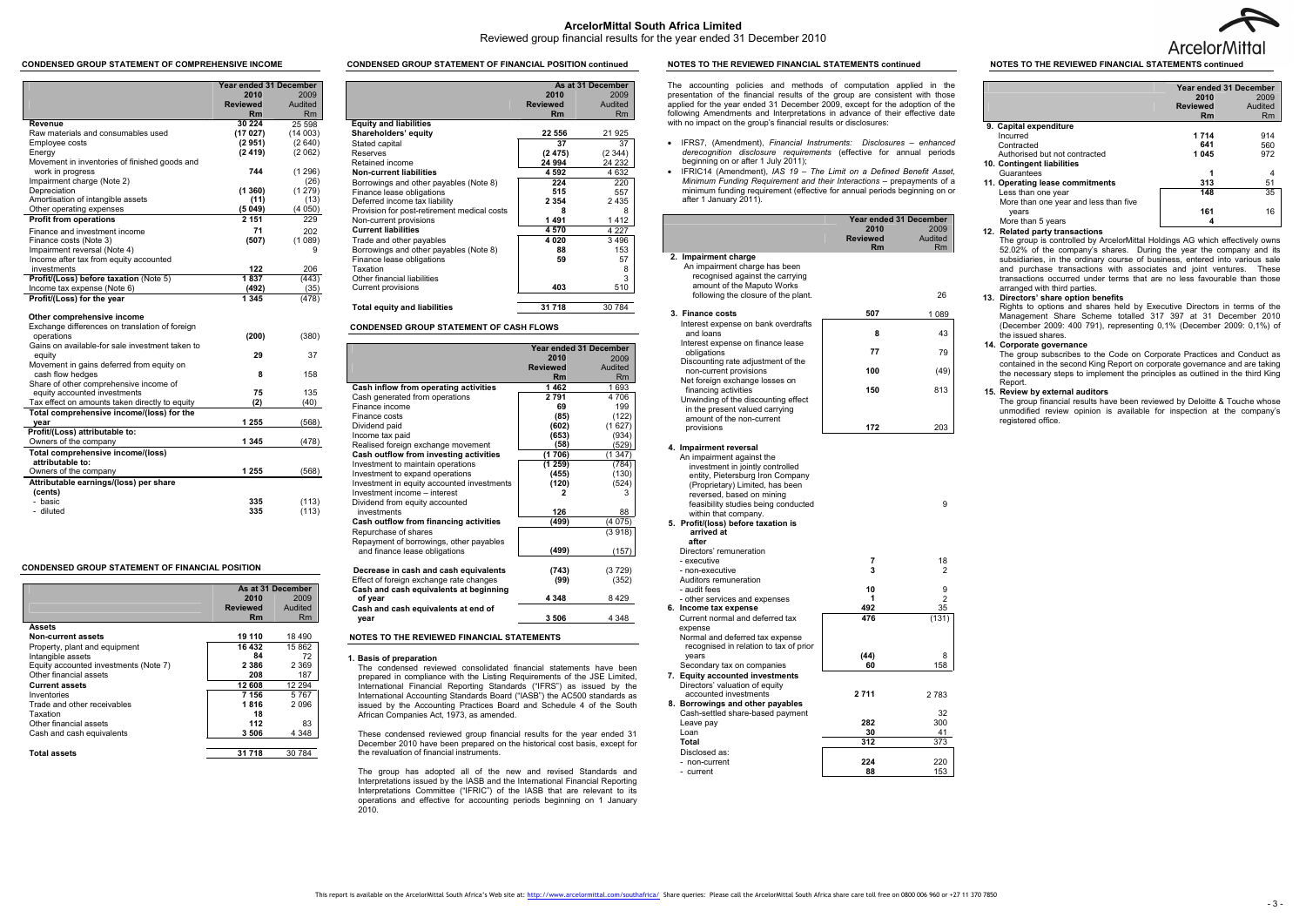**ArcelorMittal South Africa Limited** 

# Reviewed group financial results for the year ended 31 December 2010

#### **CONDENSED GROUP STATEMENT OF COMPREHENSIVE INCOME**

|                                                              | <b>Year ended 31 December</b> |         |
|--------------------------------------------------------------|-------------------------------|---------|
|                                                              | 2010                          | 2009    |
|                                                              | <b>Reviewed</b>               | Audited |
|                                                              | Rm                            | Rm      |
| Revenue                                                      | 30 224                        | 25 598  |
| Raw materials and consumables used                           | (17027)                       | (14003) |
| Employee costs                                               | (2951)                        | (2640)  |
| Energy                                                       | (2419)                        | (2062)  |
| Movement in inventories of finished goods and                |                               |         |
| work in progress                                             | 744                           | (1296)  |
| Impairment charge (Note 2)                                   |                               | (26)    |
| Depreciation                                                 | (1360)                        | (1279)  |
| Amortisation of intangible assets                            | (11)                          | (13)    |
| Other operating expenses                                     | (5049)                        | (4050)  |
| <b>Profit from operations</b>                                | 2 1 5 1                       | 229     |
| Finance and investment income                                | 71                            | 202     |
| Finance costs (Note 3)                                       | (507)                         | (1089)  |
| Impairment reversal (Note 4)                                 |                               | 9       |
| Income after tax from equity accounted                       |                               |         |
| investments                                                  | 122                           | 206     |
| Profit/(Loss) before taxation (Note 5)                       | 1837                          | (443)   |
| Income tax expense (Note 6)                                  | (492)                         | (35)    |
| Profit/(Loss) for the year                                   | 1 3 4 5                       | (478)   |
| Other comprehensive income                                   |                               |         |
| Exchange differences on translation of foreign               |                               |         |
| operations                                                   | (200)                         | (380)   |
| Gains on available-for sale investment taken to              |                               |         |
| equity                                                       | 29                            | 37      |
| Movement in gains deferred from equity on                    |                               |         |
| cash flow hedges                                             | 8                             | 158     |
| Share of other comprehensive income of                       |                               |         |
| equity accounted investments                                 | 75                            | 135     |
| Tax effect on amounts taken directly to equity               | (2)                           | (40)    |
| Total comprehensive income/(loss) for the                    |                               |         |
| year                                                         | 1 255                         | (568)   |
| Profit/(Loss) attributable to:                               | 1 3 4 5                       |         |
| Owners of the company                                        |                               | (478)   |
| <b>Total comprehensive income/(loss)</b><br>attributable to: |                               |         |
| Owners of the company                                        | 1 2 5 5                       | (568)   |
|                                                              |                               |         |
| Attributable earnings/(loss) per share<br>(cents)            |                               |         |
| - basic                                                      | 335                           | (113)   |
| - diluted                                                    | 335                           | (113)   |
|                                                              |                               |         |

#### **CONDENSED GROUP STATEMENT OF FINANCIAL POSITION**

|                                       | As at 31 December |           |
|---------------------------------------|-------------------|-----------|
|                                       | 2010              | 2009      |
|                                       | <b>Reviewed</b>   | Audited   |
|                                       | Rm                | <b>Rm</b> |
| Assets                                |                   |           |
| <b>Non-current assets</b>             | 19 110            | 18490     |
| Property, plant and equipment         | 16 432            | 15862     |
| Intangible assets                     | 84                | 72        |
| Equity accounted investments (Note 7) | 2 3 8 6           | 2 3 6 9   |
| Other financial assets                | 208               | 187       |
| <b>Current assets</b>                 | 12 608            | 12 2 9 4  |
| Inventories                           | 7 156             | 5767      |
| Trade and other receivables           | 1816              | 2096      |
| Taxation                              | 18                |           |
| Other financial assets                | 112               | 83        |
| Cash and cash equivalents             | 3506              | 4 3 4 8   |
| Total assets                          | 31 718            | 30 784    |

#### **CONDENSED GROUP STATEMENT OF FINANCIAL POSITION continued**

|                                             | As at 31 December |         |
|---------------------------------------------|-------------------|---------|
|                                             | 2010              | 2009    |
|                                             | <b>Reviewed</b>   | Audited |
|                                             | Rm                | Rm      |
| <b>Equity and liabilities</b>               |                   |         |
| Shareholders' equity                        | 22 556            | 21 925  |
| Stated capital                              | 37                | 37      |
| Reserves                                    | (2475)            | (2344)  |
| Retained income                             | 24 994            | 24 232  |
| <b>Non-current liabilities</b>              | 4 5 9 2           | 4 6 3 2 |
| Borrowings and other payables (Note 8)      | 224               | 220     |
| Finance lease obligations                   | 515               | 557     |
| Deferred income tax liability               | 2 3 5 4           | 2435    |
| Provision for post-retirement medical costs | 8                 | 8       |
| Non-current provisions                      | 1491              | 1412    |
| <b>Current liabilities</b>                  | 4570              | 4 2 2 7 |
| Trade and other payables                    | 4020              | 3496    |
| Borrowings and other payables (Note 8)      | 88                | 153     |
| Finance lease obligations                   | 59                | 57      |
| Taxation                                    |                   | 8       |
| Other financial liabilities                 |                   | 3       |
| Current provisions                          | 403               | 510     |
| <b>Total equity and liabilities</b>         | 31 718            | 30 784  |

# **CONDENSED GROUP STATEMENT OF CASH FLOWS**

|                                             | <b>Year ended 31 December</b> |           |
|---------------------------------------------|-------------------------------|-----------|
|                                             | 2010                          | 2009      |
|                                             | <b>Reviewed</b>               | Audited   |
|                                             | Rm                            | <b>Rm</b> |
| Cash inflow from operating activities       | 1462                          | 1693      |
| Cash generated from operations              | 2791                          | 4 706     |
| Finance income                              | 69                            | 199       |
| Finance costs                               | (85)                          | (122)     |
| Dividend paid                               | (602)                         | (1627)    |
| Income tax paid                             | (653)                         | (934)     |
| Realised foreign exchange movement          | (58)                          | (529)     |
| Cash outflow from investing activities      | (1 706)                       | (1 347)   |
| Investment to maintain operations           | (1259)                        | (784)     |
| Investment to expand operations             | (455)                         | (130)     |
| Investment in equity accounted investments  | (120)                         | (524)     |
| Investment income - interest                | 2                             | 3         |
| Dividend from equity accounted              |                               |           |
| investments                                 | 126                           | 88        |
| Cash outflow from financing activities      | (499)                         | (4 075)   |
| Repurchase of shares                        |                               | (3918)    |
| Repayment of borrowings, other payables     |                               |           |
| and finance lease obligations               | (499)                         | (157      |
|                                             |                               |           |
| Decrease in cash and cash equivalents       | (743)                         | (3729)    |
| Effect of foreign exchange rate changes     | (99)                          | (352)     |
| Cash and cash equivalents at beginning      | 4 3 4 8                       |           |
| of year                                     |                               | 8429      |
| Cash and cash equivalents at end of<br>vear | 3506                          | 4 3 4 8   |

#### **NOTES TO THE REVIEWED FINANCIAL STATEMENTS**

#### **1. Basis of preparation**

The condensed reviewed consolidated financial statements have been prepared in compliance with the Listing Requirements of the JSE Limited, International Financial Reporting Standards ("IFRS") as issued by the International Accounting Standards Board ("IASB") the AC500 standards as issued by the Accounting Practices Board and Schedule 4 of the South African Companies Act, 1973, as amended.

These condensed reviewed group financial results for the year ended 31 December 2010 have been prepared on the historical cost basis, except for the revaluation of financial instruments.

The group has adopted all of the new and revised Standards and Interpretations issued by the IASB and the International Financial Reporting Interpretations Committee ("IFRIC") of the IASB that are relevant to its operations and effective for accounting periods beginning on 1 January 2010.

#### **NOTES TO THE REVIEWED FINANCIAL STATEMENTS continued**

The accounting policies and methods of computation applied in the presentation of the financial results of the group are consistent with those applied for the year ended 31 December 2009, except for the adoption of the following Amendments and Interpretations in advance of their effective date with no impact on the group's financial results or disclosures:

- IFRS7, (Amendment), *Financial Instruments: Disclosures enhanced derecognition disclosure requirements* (effective for annual periods beginning on or after 1 July 2011);
- IFRIC14 (Amendment), *IAS 19 The Limit on a Defined Benefit Asset, Minimum Funding Requirement and their Interactions* – prepayments of a minimum funding requirement (effective for annual periods beginning on or after 1 January 2011).

|                                                                       | Year ended 31 December |                |
|-----------------------------------------------------------------------|------------------------|----------------|
|                                                                       | 2010                   | 2009           |
|                                                                       | <b>Reviewed</b>        | Audited        |
| 2. Impairment charge                                                  | Rm                     | Rm             |
| An impairment charge has been                                         |                        |                |
| recognised against the carrying                                       |                        |                |
| amount of the Maputo Works<br>following the closure of the plant.     |                        | 26             |
|                                                                       |                        |                |
| 3. Finance costs                                                      | 507                    | 1 0 8 9        |
| Interest expense on bank overdrafts                                   |                        |                |
| and loans                                                             | 8                      | 43             |
| Interest expense on finance lease<br>obligations                      | 77                     | 79             |
| Discounting rate adjustment of the                                    |                        |                |
| non-current provisions                                                | 100                    | (49)           |
| Net foreign exchange losses on                                        |                        |                |
| financing activities                                                  | 150                    | 813            |
| Unwinding of the discounting effect<br>in the present valued carrying |                        |                |
| amount of the non-current                                             |                        |                |
| provisions                                                            | 172                    | 203            |
|                                                                       |                        |                |
| 4. Impairment reversal                                                |                        |                |
| An impairment against the                                             |                        |                |
| investment in jointly controlled                                      |                        |                |
| entity, Pietersburg Iron Company                                      |                        |                |
| (Proprietary) Limited, has been<br>reversed, based on mining          |                        |                |
| feasibility studies being conducted                                   |                        | 9              |
| within that company.                                                  |                        |                |
| 5. Profit/(loss) before taxation is                                   |                        |                |
| arrived at                                                            |                        |                |
| after<br>Directors' remuneration                                      |                        |                |
| - executive                                                           | 7                      | 18             |
| - non-executive                                                       | 3                      | 2              |
| Auditors remuneration                                                 |                        |                |
| - audit fees                                                          | 10                     | 9              |
| - other services and expenses                                         | 1                      | $\overline{2}$ |
| 6. Income tax expense                                                 | 492                    | 35             |
| Current normal and deferred tax<br>expense                            | 476                    | (131)          |
| Normal and deferred tax expense                                       |                        |                |
| recognised in relation to tax of prior                                |                        |                |
| vears                                                                 | (44)                   | 8              |
| Secondary tax on companies                                            | 60                     | 158            |
| 7. Equity accounted investments                                       |                        |                |
| Directors' valuation of equity                                        |                        |                |
| accounted investments<br>8. Borrowings and other payables             | 2711                   | 2783           |
| Cash-settled share-based payment                                      |                        | 32             |
| Leave pay                                                             | 282                    | 300            |
| Loan                                                                  | 30                     | 41             |
| Total                                                                 | 312                    | 373            |
| Disclosed as:                                                         |                        |                |
| - non-current                                                         | 224<br>88              | 220<br>153     |
| - current                                                             |                        |                |



# **NOTES TO THE REVIEWED FINANCIAL STATEMENTS continued**

|                                       | Year ended 31 December |         |
|---------------------------------------|------------------------|---------|
|                                       | 2010                   | 2009    |
|                                       | <b>Reviewed</b>        | Audited |
|                                       | Rm                     | Rm      |
| 9. Capital expenditure                |                        |         |
| Incurred                              | 1714                   | 914     |
| Contracted                            | 641                    | 560     |
| Authorised but not contracted         | 1045                   | 972     |
| 10. Contingent liabilities            |                        |         |
| Guarantees                            |                        | 4       |
| 11. Operating lease commitments       | 313                    | 51      |
| Less than one year                    | 148                    | 35      |
| More than one year and less than five |                        |         |
| years                                 | 161                    | 16      |
| More than 5 years                     |                        |         |

# **12. Related party transactions**

 The group is controlled by ArcelorMittal Holdings AG which effectively owns 52.02% of the company's shares. During the year the company and its subsidiaries, in the ordinary course of business, entered into various sale and purchase transactions with associates and joint ventures. These transactions occurred under terms that are no less favourable than those arranged with third parties.

### **13. Directors' share option benefits**

 Rights to options and shares held by Executive Directors in terms of the Management Share Scheme totalled 317 397 at 31 December 2010 (December 2009: 400 791), representing 0,1% (December 2009: 0,1%) of the issued shares.

# **14. Corporate governance**

 The group subscribes to the Code on Corporate Practices and Conduct as contained in the second King Report on corporate governance and are taking the necessary steps to implement the principles as outlined in the third King Report.

#### **15. Review by external auditors**

 The group financial results have been reviewed by Deloitte & Touche whose unmodified review opinion is available for inspection at the company's registered office.